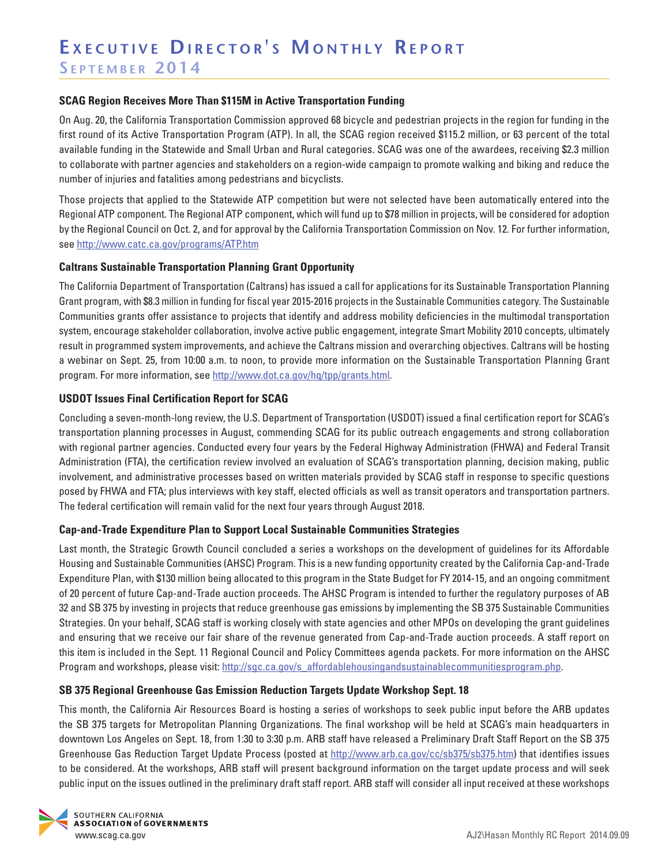## **SCAG Region Receives More Than \$115M in Active Transportation Funding**

On Aug. 20, the California Transportation Commission approved 68 bicycle and pedestrian projects in the region for funding in the first round of its Active Transportation Program (ATP). In all, the SCAG region received \$115.2 million, or 63 percent of the total available funding in the Statewide and Small Urban and Rural categories. SCAG was one of the awardees, receiving \$2.3 million to collaborate with partner agencies and stakeholders on a region-wide campaign to promote walking and biking and reduce the number of injuries and fatalities among pedestrians and bicyclists.

Those projects that applied to the Statewide ATP competition but were not selected have been automatically entered into the Regional ATP component. The Regional ATP component, which will fund up to \$78 million in projects, will be considered for adoption by the Regional Council on Oct. 2, and for approval by the California Transportation Commission on Nov. 12. For further information, see<http://www.catc.ca.gov/programs/ATP.htm>

### **Caltrans Sustainable Transportation Planning Grant Opportunity**

The California Department of Transportation (Caltrans) has issued a call for applications for its Sustainable Transportation Planning Grant program, with \$8.3 million in funding for fiscal year 2015-2016 projects in the Sustainable Communities category. The Sustainable Communities grants offer assistance to projects that identify and address mobility deficiencies in the multimodal transportation system, encourage stakeholder collaboration, involve active public engagement, integrate Smart Mobility 2010 concepts, ultimately result in programmed system improvements, and achieve the Caltrans mission and overarching objectives. Caltrans will be hosting a webinar on Sept. 25, from 10:00 a.m. to noon, to provide more information on the Sustainable Transportation Planning Grant program. For more information, see [http://www.dot.ca.gov/hq/tpp/grants.html.](http://www.dot.ca.gov/hq/tpp/grants.html)

### **USDOT Issues Final Certification Report for SCAG**

Concluding a seven-month-long review, the U.S. Department of Transportation (USDOT) issued a final certification report for SCAG's transportation planning processes in August, commending SCAG for its public outreach engagements and strong collaboration with regional partner agencies. Conducted every four years by the Federal Highway Administration (FHWA) and Federal Transit Administration (FTA), the certification review involved an evaluation of SCAG's transportation planning, decision making, public involvement, and administrative processes based on written materials provided by SCAG staff in response to specific questions posed by FHWA and FTA; plus interviews with key staff, elected officials as well as transit operators and transportation partners. The federal certification will remain valid for the next four years through August 2018.

#### **Cap-and-Trade Expenditure Plan to Support Local Sustainable Communities Strategies**

Last month, the Strategic Growth Council concluded a series a workshops on the development of guidelines for its Affordable Housing and Sustainable Communities (AHSC) Program. This is a new funding opportunity created by the California Cap-and-Trade Expenditure Plan, with \$130 million being allocated to this program in the State Budget for FY 2014-15, and an ongoing commitment of 20 percent of future Cap-and-Trade auction proceeds. The AHSC Program is intended to further the regulatory purposes of AB 32 and SB 375 by investing in projects that reduce greenhouse gas emissions by implementing the SB 375 Sustainable Communities Strategies. On your behalf, SCAG staff is working closely with state agencies and other MPOs on developing the grant guidelines and ensuring that we receive our fair share of the revenue generated from Cap-and-Trade auction proceeds. A staff report on this item is included in the Sept. 11 Regional Council and Policy Committees agenda packets. For more information on the AHSC Program and workshops, please visit: http://sgc.ca.gov/s\_affordablehousingandsustainablecommunitiesprogram.php.

#### **SB 375 Regional Greenhouse Gas Emission Reduction Targets Update Workshop Sept. 18**

This month, the California Air Resources Board is hosting a series of workshops to seek public input before the ARB updates the SB 375 targets for Metropolitan Planning Organizations. The final workshop will be held at SCAG's main headquarters in downtown Los Angeles on Sept. 18, from 1:30 to 3:30 p.m. ARB staff have released a Preliminary Draft Staff Report on the SB 375 Greenhouse Gas Reduction Target Update Process (posted at <http://www.arb.ca.gov/cc/sb375/sb375.htm>) that identifies issues to be considered. At the workshops, ARB staff will present background information on the target update process and will seek public input on the issues outlined in the preliminary draft staff report. ARB staff will consider all input received at these workshops